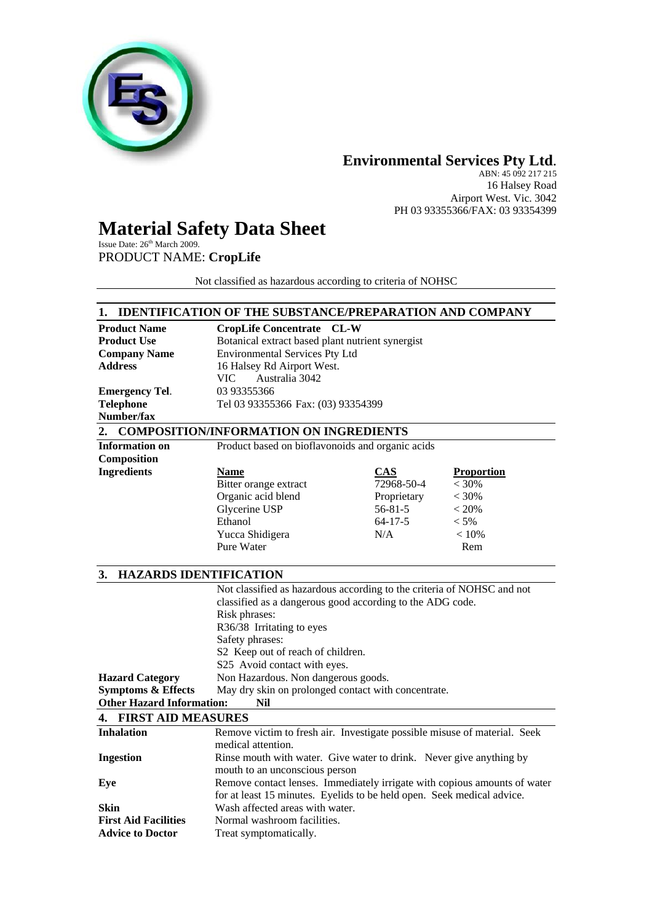

## **Environmental Services Pty Ltd**.

ABN: 45 092 217 215 16 Halsey Road Airport West. Vic. 3042 PH 03 93355366/FAX: 03 93354399

# **Material Safety Data Sheet**

Issue Date:  $26<sup>th</sup> March 2009$ . PRODUCT NAME: **CropLife** 

Not classified as hazardous according to criteria of NOHSC

## **1. IDENTIFICATION OF THE SUBSTANCE/PREPARATION AND COMPANY**

| <b>Product Name</b>                 | <b>CropLife Concentrate CL-W</b>                                          |               |                   |
|-------------------------------------|---------------------------------------------------------------------------|---------------|-------------------|
| <b>Product Use</b>                  | Botanical extract based plant nutrient synergist                          |               |                   |
| <b>Company Name</b>                 | <b>Environmental Services Pty Ltd</b>                                     |               |                   |
| <b>Address</b>                      | 16 Halsey Rd Airport West.                                                |               |                   |
|                                     | Australia 3042<br>VIC-                                                    |               |                   |
| <b>Emergency Tel.</b>               | 03 93355366                                                               |               |                   |
| <b>Telephone</b>                    | Tel 03 93355366 Fax: (03) 93354399                                        |               |                   |
| Number/fax                          |                                                                           |               |                   |
| 2.                                  | <b>COMPOSITION/INFORMATION ON INGREDIENTS</b>                             |               |                   |
| <b>Information on</b>               | Product based on bioflavonoids and organic acids                          |               |                   |
| Composition                         |                                                                           |               |                   |
| <b>Ingredients</b>                  | <b>Name</b>                                                               | <b>CAS</b>    | <b>Proportion</b> |
|                                     | Bitter orange extract                                                     | 72968-50-4    | $< 30\%$          |
|                                     | Organic acid blend                                                        | Proprietary   | < 30%             |
|                                     | Glycerine USP                                                             | $56 - 81 - 5$ | < 20%             |
|                                     | Ethanol                                                                   | $64 - 17 - 5$ | $<$ 5%            |
|                                     | Yucca Shidigera                                                           | N/A           | $< 10\%$          |
|                                     | Pure Water                                                                |               | Rem               |
|                                     |                                                                           |               |                   |
| <b>HAZARDS IDENTIFICATION</b><br>3. |                                                                           |               |                   |
|                                     | Not classified as hazardous according to the criteria of NOHSC and not    |               |                   |
|                                     | classified as a dangerous good according to the ADG code.                 |               |                   |
|                                     | Risk phrases:                                                             |               |                   |
|                                     | R36/38 Irritating to eyes                                                 |               |                   |
|                                     | Safety phrases:                                                           |               |                   |
|                                     | S2 Keep out of reach of children.                                         |               |                   |
|                                     | S25 Avoid contact with eyes.                                              |               |                   |
| <b>Hazard Category</b>              | Non Hazardous. Non dangerous goods.                                       |               |                   |
| <b>Symptoms &amp; Effects</b>       | May dry skin on prolonged contact with concentrate.                       |               |                   |
| <b>Other Hazard Information:</b>    | Nil                                                                       |               |                   |
| 4. FIRST AID MEASURES               |                                                                           |               |                   |
| <b>Inhalation</b>                   | Remove victim to fresh air. Investigate possible misuse of material. Seek |               |                   |
|                                     | medical attention.                                                        |               |                   |
| <b>Ingestion</b>                    | Rinse mouth with water. Give water to drink. Never give anything by       |               |                   |
|                                     | mouth to an unconscious person                                            |               |                   |
| Eye                                 | Remove contact lenses. Immediately irrigate with copious amounts of water |               |                   |
|                                     | for at least 15 minutes. Eyelids to be held open. Seek medical advice.    |               |                   |
| Skin                                | Wash affected areas with water.                                           |               |                   |
| <b>First Aid Facilities</b>         | Normal washroom facilities.                                               |               |                   |
| <b>Advice to Doctor</b>             | Treat symptomatically.                                                    |               |                   |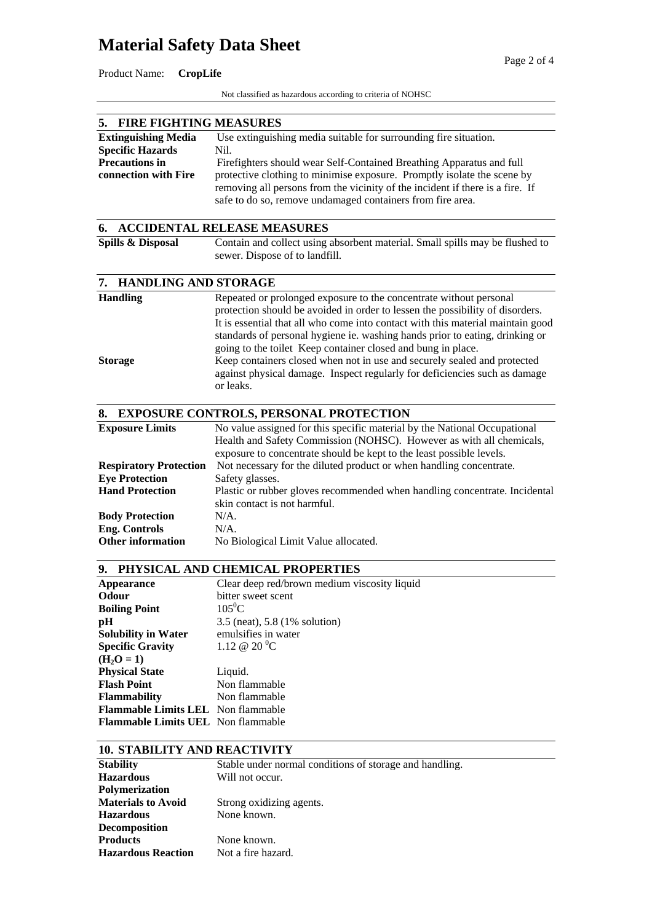# **Material Safety Data Sheet**

Not classified as hazardous according to criteria of NOHSC

| <b>FIRE FIGHTING MEASURES</b><br>5. |                                                                                         |
|-------------------------------------|-----------------------------------------------------------------------------------------|
| <b>Extinguishing Media</b>          | Use extinguishing media suitable for surrounding fire situation.                        |
| <b>Specific Hazards</b>             | Nil.                                                                                    |
| <b>Precautions in</b>               | Firefighters should wear Self-Contained Breathing Apparatus and full                    |
| connection with Fire                | protective clothing to minimise exposure. Promptly isolate the scene by                 |
|                                     | removing all persons from the vicinity of the incident if there is a fire. If           |
|                                     | safe to do so, remove undamaged containers from fire area.                              |
| 6.                                  | <b>ACCIDENTAL RELEASE MEASURES</b>                                                      |
| Spills & Disposal                   | Contain and collect using absorbent material. Small spills may be flushed to            |
|                                     | sewer. Dispose of to landfill.                                                          |
|                                     |                                                                                         |
| <b>HANDLING AND STORAGE</b><br>7.   |                                                                                         |
| <b>Handling</b>                     | Repeated or prolonged exposure to the concentrate without personal                      |
|                                     | protection should be avoided in order to lessen the possibility of disorders.           |
|                                     | It is essential that all who come into contact with this material maintain good         |
|                                     | standards of personal hygiene ie. washing hands prior to eating, drinking or            |
|                                     | going to the toilet Keep container closed and bung in place.                            |
| <b>Storage</b>                      | Keep containers closed when not in use and securely sealed and protected                |
|                                     | against physical damage. Inspect regularly for deficiencies such as damage<br>or leaks. |
|                                     |                                                                                         |
| 8.                                  | <b>EXPOSURE CONTROLS, PERSONAL PROTECTION</b>                                           |
| <b>Exposure Limits</b>              | No value assigned for this specific material by the National Occupational               |
|                                     | Health and Safety Commission (NOHSC). However as with all chemicals,                    |
|                                     | exposure to concentrate should be kept to the least possible levels.                    |
| <b>Respiratory Protection</b>       | Not necessary for the diluted product or when handling concentrate.                     |
| <b>Eye Protection</b>               | Safety glasses.                                                                         |
| <b>Hand Protection</b>              | Plastic or rubber gloves recommended when handling concentrate. Incidental              |
|                                     | skin contact is not harmful.                                                            |
| <b>Body Protection</b>              | $N/A$ .                                                                                 |
| <b>Eng. Controls</b>                | $N/A$ .                                                                                 |
| <b>Other information</b>            | No Biological Limit Value allocated.                                                    |
| 9.                                  | PHYSICAL AND CHEMICAL PROPERTIES                                                        |
| <b>Appearance</b>                   | Clear deep red/brown medium viscosity liquid                                            |
| Odour                               | bitter sweet scent                                                                      |
| <b>Boiling Point</b>                | $105^0C$                                                                                |

| <i><b>Trpearance</b></i>                  | Creat acception brown incurant visco. |
|-------------------------------------------|---------------------------------------|
| Odour                                     | bitter sweet scent                    |
| <b>Boiling Point</b>                      | $105^0C$                              |
| рH                                        | 3.5 (neat), 5.8 (1% solution)         |
| <b>Solubility in Water</b>                | emulsifies in water                   |
| <b>Specific Gravity</b>                   | 1.12 @ 20 $^0C$                       |
| $(H_2O = 1)$                              |                                       |
| <b>Physical State</b>                     | Liquid.                               |
| <b>Flash Point</b>                        | Non flammable                         |
| Flammability                              | Non flammable                         |
| <b>Flammable Limits LEL</b> Non flammable |                                       |
| <b>Flammable Limits UEL</b> Non flammable |                                       |
|                                           |                                       |

## **10. STABILITY AND REACTIVITY**

| <b>Stability</b>          | Stable under normal conditions of storage and handling. |
|---------------------------|---------------------------------------------------------|
| <b>Hazardous</b>          | Will not occur.                                         |
| Polymerization            |                                                         |
| <b>Materials to Avoid</b> | Strong oxidizing agents.                                |
| <b>Hazardous</b>          | None known.                                             |
| <b>Decomposition</b>      |                                                         |
| <b>Products</b>           | None known.                                             |
| <b>Hazardous Reaction</b> | Not a fire hazard.                                      |